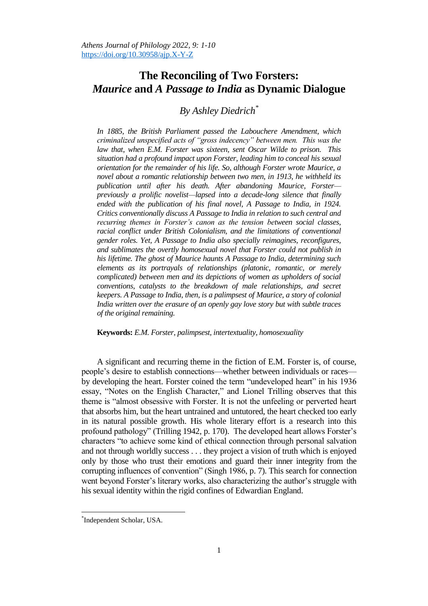## **The Reconciling of Two Forsters:** *Maurice* **and** *A Passage to India* **as Dynamic Dialogue**

## *By Ashley Diedrich\**

*In 1885, the British Parliament passed the Labouchere Amendment, which criminalized unspecified acts of "gross indecency" between men. This was the law that, when E.M. Forster was sixteen, sent Oscar Wilde to prison. This situation had a profound impact upon Forster, leading him to conceal his sexual orientation for the remainder of his life. So, although Forster wrote Maurice, a novel about a romantic relationship between two men, in 1913, he withheld its publication until after his death. After abandoning Maurice, Forster previously a prolific novelist—lapsed into a decade-long silence that finally*  ended with the publication of his final novel, A Passage to India, in 1924. *Critics conventionally discuss A Passage to India in relation to such central and recurring themes in Forster's canon as the tension between social classes, racial conflict under British Colonialism, and the limitations of conventional gender roles. Yet, A Passage to India also specially reimagines, reconfigures, and sublimates the overtly homosexual novel that Forster could not publish in his lifetime. The ghost of Maurice haunts A Passage to India, determining such elements as its portrayals of relationships (platonic, romantic, or merely complicated) between men and its depictions of women as upholders of social conventions, catalysts to the breakdown of male relationships, and secret keepers. A Passage to India, then, is a palimpsest of Maurice, a story of colonial India written over the erasure of an openly gay love story but with subtle traces of the original remaining.* 

**Keywords:** *E.M. Forster, palimpsest, intertextuality, homosexuality*

A significant and recurring theme in the fiction of E.M. Forster is, of course, people's desire to establish connections—whether between individuals or races by developing the heart. Forster coined the term "undeveloped heart" in his 1936 essay, "Notes on the English Character," and Lionel Trilling observes that this theme is "almost obsessive with Forster. It is not the unfeeling or perverted heart that absorbs him, but the heart untrained and untutored, the heart checked too early in its natural possible growth. His whole literary effort is a research into this profound pathology" (Trilling 1942, p. 170). The developed heart allows Forster's characters "to achieve some kind of ethical connection through personal salvation and not through worldly success . . . they project a vision of truth which is enjoyed only by those who trust their emotions and guard their inner integrity from the corrupting influences of convention" (Singh 1986, p. 7). This search for connection went beyond Forster's literary works, also characterizing the author's struggle with his sexual identity within the rigid confines of Edwardian England.

 $\overline{a}$ 

<sup>\*</sup> Independent Scholar, USA.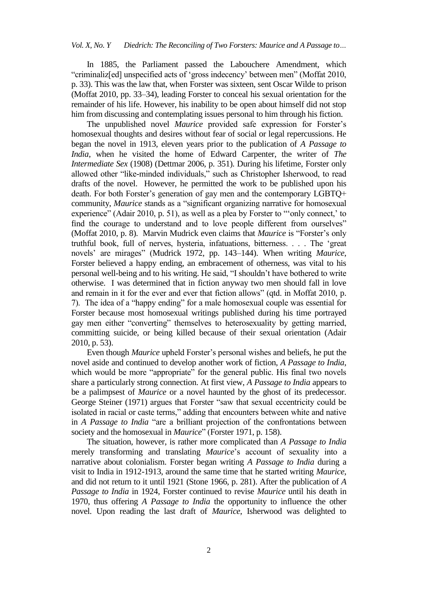In 1885, the Parliament passed the Labouchere Amendment, which "criminaliz[ed] unspecified acts of 'gross indecency' between men" (Moffat 2010, p. 33). This was the law that, when Forster was sixteen, sent Oscar Wilde to prison (Moffat 2010, pp. 33–34), leading Forster to conceal his sexual orientation for the remainder of his life. However, his inability to be open about himself did not stop him from discussing and contemplating issues personal to him through his fiction.

The unpublished novel *Maurice* provided safe expression for Forster's homosexual thoughts and desires without fear of social or legal repercussions. He began the novel in 1913, eleven years prior to the publication of *A Passage to India*, when he visited the home of Edward Carpenter, the writer of *The Intermediate Sex* (1908) (Dettmar 2006, p. 351). During his lifetime, Forster only allowed other "like-minded individuals," such as Christopher Isherwood, to read drafts of the novel. However, he permitted the work to be published upon his death. For both Forster's generation of gay men and the contemporary LGBTQ+ community, *Maurice* stands as a "significant organizing narrative for homosexual experience" (Adair 2010, p. 51), as well as a plea by Forster to "only connect,' to find the courage to understand and to love people different from ourselves" (Moffat 2010, p. 8). Marvin Mudrick even claims that *Maurice* is "Forster's only truthful book, full of nerves, hysteria, infatuations, bitterness. . . . The 'great novels' are mirages" (Mudrick 1972, pp. 143-144). When writing *Maurice*, Forster believed a happy ending, an embracement of otherness, was vital to his personal well-being and to his writing. He said, "I shouldn't have bothered to write otherwise. I was determined that in fiction anyway two men should fall in love and remain in it for the ever and ever that fiction allows" (qtd. in Moffat 2010, p. 7). The idea of a "happy ending" for a male homosexual couple was essential for Forster because most homosexual writings published during his time portrayed gay men either "converting" themselves to heterosexuality by getting married, committing suicide, or being killed because of their sexual orientation (Adair 2010, p. 53).

Even though *Maurice* upheld Forster's personal wishes and beliefs, he put the novel aside and continued to develop another work of fiction, *A Passage to India*, which would be more "appropriate" for the general public. His final two novels share a particularly strong connection. At first view, *A Passage to India* appears to be a palimpsest of *Maurice* or a novel haunted by the ghost of its predecessor. George Steiner (1971) argues that Forster "saw that sexual eccentricity could be isolated in racial or caste terms," adding that encounters between white and native in *A Passage to India* "are a brilliant projection of the confrontations between society and the homosexual in *Maurice*" (Forster 1971, p. 158).

The situation, however, is rather more complicated than *A Passage to India* merely transforming and translating *Maurice*'s account of sexuality into a narrative about colonialism. Forster began writing *A Passage to India* during a visit to India in 1912-1913, around the same time that he started writing *Maurice*, and did not return to it until 1921 (Stone 1966, p. 281). After the publication of *A Passage to India* in 1924, Forster continued to revise *Maurice* until his death in 1970, thus offering *A Passage to India* the opportunity to influence the other novel. Upon reading the last draft of *Maurice*, Isherwood was delighted to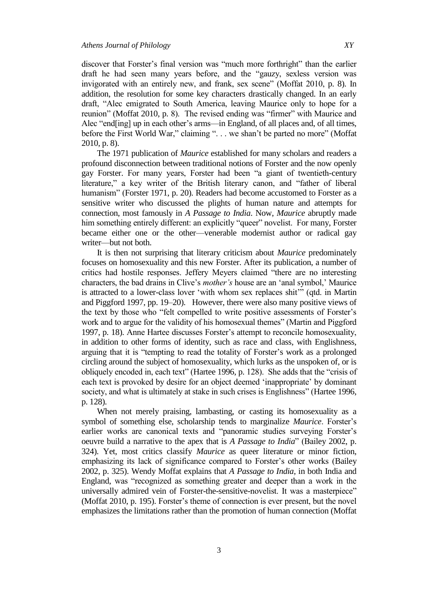discover that Forster's final version was "much more forthright" than the earlier draft he had seen many years before, and the "gauzy, sexless version was invigorated with an entirely new, and frank, sex scene" (Moffat 2010, p. 8). In addition, the resolution for some key characters drastically changed. In an early draft, "Alec emigrated to South America, leaving Maurice only to hope for a reunion" (Moffat 2010, p. 8). The revised ending was "firmer" with Maurice and Alec "end[ing] up in each other's arms—in England, of all places and, of all times, before the First World War," claiming ". . . we shan't be parted no more" (Moffat 2010, p. 8).

The 1971 publication of *Maurice* established for many scholars and readers a profound disconnection between traditional notions of Forster and the now openly gay Forster. For many years, Forster had been "a giant of twentieth-century literature," a key writer of the British literary canon, and "father of liberal humanism" (Forster 1971, p. 20). Readers had become accustomed to Forster as a sensitive writer who discussed the plights of human nature and attempts for connection, most famously in *A Passage to India*. Now, *Maurice* abruptly made him something entirely different: an explicitly "queer" novelist. For many, Forster became either one or the other—venerable modernist author or radical gay writer—but not both.

It is then not surprising that literary criticism about *Maurice* predominately focuses on homosexuality and this new Forster. After its publication, a number of critics had hostile responses. Jeffery Meyers claimed "there are no interesting characters, the bad drains in Clive's *mother's* house are an 'anal symbol,' Maurice is attracted to a lower-class lover 'with whom sex replaces shit'" (qtd. in Martin and Piggford 1997, pp. 19–20). However, there were also many positive views of the text by those who "felt compelled to write positive assessments of Forster's work and to argue for the validity of his homosexual themes" (Martin and Piggford 1997, p. 18). Anne Hartee discusses Forster's attempt to reconcile homosexuality, in addition to other forms of identity, such as race and class, with Englishness, arguing that it is "tempting to read the totality of Forster's work as a prolonged circling around the subject of homosexuality, which lurks as the unspoken of, or is obliquely encoded in, each text" (Hartee 1996, p. 128). She adds that the "crisis of each text is provoked by desire for an object deemed 'inappropriate' by dominant society, and what is ultimately at stake in such crises is Englishness" (Hartee 1996, p. 128).

When not merely praising, lambasting, or casting its homosexuality as a symbol of something else, scholarship tends to marginalize *Maurice*. Forster's earlier works are canonical texts and "panoramic studies surveying Forster's oeuvre build a narrative to the apex that is *A Passage to India*" (Bailey 2002, p. 324). Yet, most critics classify *Maurice* as queer literature or minor fiction, emphasizing its lack of significance compared to Forster's other works (Bailey 2002, p. 325). Wendy Moffat explains that *A Passage to India*, in both India and England, was "recognized as something greater and deeper than a work in the universally admired vein of Forster-the-sensitive-novelist. It was a masterpiece" (Moffat 2010, p. 195). Forster's theme of connection is ever present, but the novel emphasizes the limitations rather than the promotion of human connection (Moffat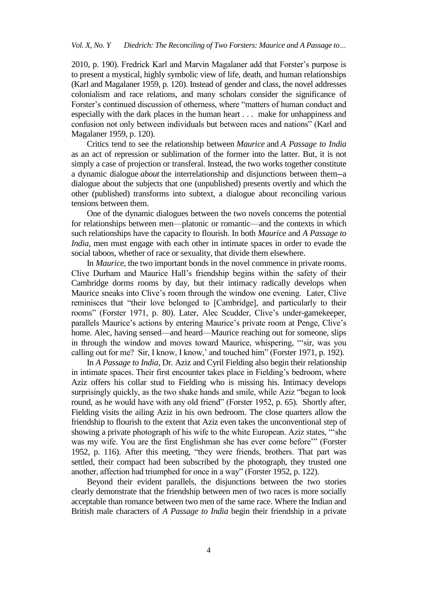2010, p. 190). Fredrick Karl and Marvin Magalaner add that Forster's purpose is to present a mystical, highly symbolic view of life, death, and human relationships (Karl and Magalaner 1959, p. 120). Instead of gender and class, the novel addresses colonialism and race relations, and many scholars consider the significance of Forster's continued discussion of otherness, where "matters of human conduct and especially with the dark places in the human heart . . . make for unhappiness and confusion not only between individuals but between races and nations" (Karl and Magalaner 1959, p. 120).

Critics tend to see the relationship between *Maurice* and *A Passage to India*  as an act of repression or sublimation of the former into the latter. But, it is not simply a case of projection or transferal. Instead, the two works together constitute a dynamic dialogue *about* the interrelationship and disjunctions between them--a dialogue about the subjects that one (unpublished) presents overtly and which the other (published) transforms into subtext, a dialogue about reconciling various tensions between them.

One of the dynamic dialogues between the two novels concerns the potential for relationships between men—platonic or romantic—and the contexts in which such relationships have the capacity to flourish. In both *Maurice* and *A Passage to India*, men must engage with each other in intimate spaces in order to evade the social taboos, whether of race or sexuality, that divide them elsewhere.

In *Maurice*, the two important bonds in the novel commence in private rooms. Clive Durham and Maurice Hall's friendship begins within the safety of their Cambridge dorms rooms by day, but their intimacy radically develops when Maurice sneaks into Clive's room through the window one evening. Later, Clive reminisces that "their love belonged to [Cambridge], and particularly to their rooms" (Forster 1971, p. 80). Later, Alec Scudder, Clive's under-gamekeeper, parallels Maurice's actions by entering Maurice's private room at Penge, Clive's home. Alec, having sensed—and heard—Maurice reaching out for someone, slips in through the window and moves toward Maurice, whispering, "'sir, was you calling out for me? Sir, I know, I know,' and touched him" (Forster 1971, p. 192).

In *A Passage to India*, Dr. Aziz and Cyril Fielding also begin their relationship in intimate spaces. Their first encounter takes place in Fielding's bedroom, where Aziz offers his collar stud to Fielding who is missing his. Intimacy develops surprisingly quickly, as the two shake hands and smile, while Aziz "began to look round, as he would have with any old friend" (Forster 1952, p. 65). Shortly after, Fielding visits the ailing Aziz in his own bedroom. The close quarters allow the friendship to flourish to the extent that Aziz even takes the unconventional step of showing a private photograph of his wife to the white European. Aziz states, "she was my wife. You are the first Englishman she has ever come before" (Forster 1952, p. 116). After this meeting, "they were friends, brothers. That part was settled, their compact had been subscribed by the photograph, they trusted one another, affection had triumphed for once in a way" (Forster 1952, p. 122).

Beyond their evident parallels, the disjunctions between the two stories clearly demonstrate that the friendship between men of two races is more socially acceptable than romance between two men of the same race. Where the Indian and British male characters of *A Passage to India* begin their friendship in a private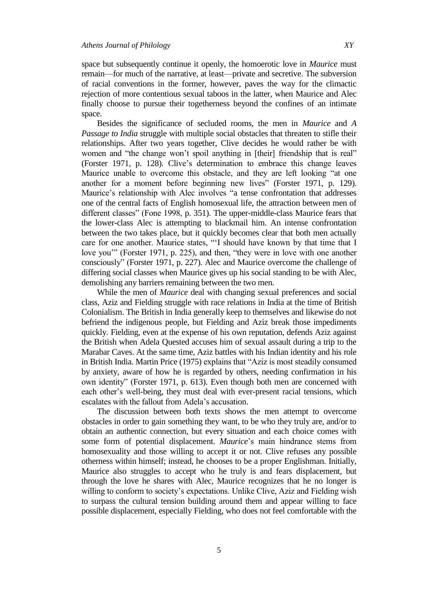space.

space but subsequently continue it openly, the homoerotic love in *Maurice* must remain—for much of the narrative, at least—private and secretive. The subversion of racial conventions in the former, however, paves the way for the climactic rejection of more contentious sexual taboos in the latter, when Maurice and Alec finally choose to pursue their togetherness beyond the confines of an intimate

Besides the significance of secluded rooms, the men in *Maurice* and *A Passage to India* struggle with multiple social obstacles that threaten to stifle their relationships. After two years together, Clive decides he would rather be with women and "the change won't spoil anything in [their] friendship that is real" (Forster 1971, p. 128). Clive's determination to embrace this change leaves Maurice unable to overcome this obstacle, and they are left looking "at one another for a moment before beginning new lives" (Forster 1971, p. 129). Maurice's relationship with Alec involves "a tense confrontation that addresses one of the central facts of English homosexual life, the attraction between men of different classes" (Fone 1998, p. 351). The upper-middle-class Maurice fears that the lower-class Alec is attempting to blackmail him. An intense confrontation between the two takes place, but it quickly becomes clear that both men actually care for one another. Maurice states, "I should have known by that time that I love you'" (Forster 1971, p. 225), and then, "they were in love with one another consciously" (Forster 1971, p. 227). Alec and Maurice overcome the challenge of differing social classes when Maurice gives up his social standing to be with Alec, demolishing any barriers remaining between the two men.

While the men of *Maurice* deal with changing sexual preferences and social class, Aziz and Fielding struggle with race relations in India at the time of British Colonialism. The British in India generally keep to themselves and likewise do not befriend the indigenous people, but Fielding and Aziz break those impediments quickly. Fielding, even at the expense of his own reputation, defends Aziz against the British when Adela Quested accuses him of sexual assault during a trip to the Marabar Caves. At the same time, Aziz battles with his Indian identity and his role in British India. Martin Price (1975) explains that "Aziz is most steadily consumed by anxiety, aware of how he is regarded by others, needing confirmation in his own identity" (Forster 1971, p. 613). Even though both men are concerned with each other's well-being, they must deal with ever-present racial tensions, which escalates with the fallout from Adela's accusation.

The discussion between both texts shows the men attempt to overcome obstacles in order to gain something they want, to be who they truly are, and/or to obtain an authentic connection, but every situation and each choice comes with some form of potential displacement. *Maurice*'s main hindrance stems from homosexuality and those willing to accept it or not. Clive refuses any possible otherness within himself; instead, he chooses to be a proper Englishman. Initially, Maurice also struggles to accept who he truly is and fears displacement, but through the love he shares with Alec, Maurice recognizes that he no longer is willing to conform to society's expectations. Unlike Clive, Aziz and Fielding wish to surpass the cultural tension building around them and appear willing to face possible displacement, especially Fielding, who does not feel comfortable with the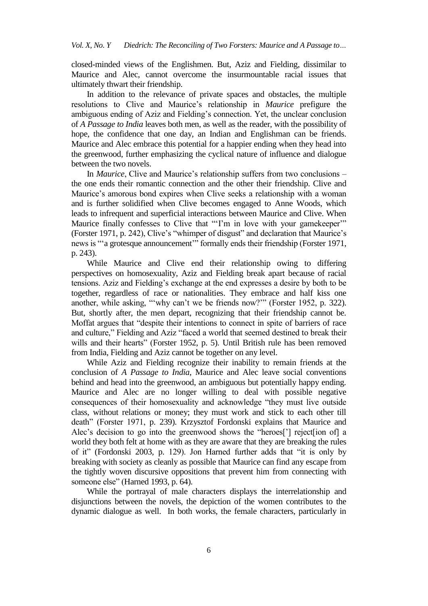closed-minded views of the Englishmen. But, Aziz and Fielding, dissimilar to Maurice and Alec, cannot overcome the insurmountable racial issues that ultimately thwart their friendship.

In addition to the relevance of private spaces and obstacles, the multiple resolutions to Clive and Maurice's relationship in *Maurice* prefigure the ambiguous ending of Aziz and Fielding's connection. Yet, the unclear conclusion of *A Passage to India* leaves both men, as well as the reader, with the possibility of hope, the confidence that one day, an Indian and Englishman can be friends. Maurice and Alec embrace this potential for a happier ending when they head into the greenwood, further emphasizing the cyclical nature of influence and dialogue between the two novels.

In *Maurice*, Clive and Maurice's relationship suffers from two conclusions – the one ends their romantic connection and the other their friendship. Clive and Maurice's amorous bond expires when Clive seeks a relationship with a woman and is further solidified when Clive becomes engaged to Anne Woods, which leads to infrequent and superficial interactions between Maurice and Clive. When Maurice finally confesses to Clive that "T'm in love with your gamekeeper" (Forster 1971, p. 242), Clive's "whimper of disgust" and declaration that Maurice's news is "a grotesque announcement" formally ends their friendship (Forster 1971, p. 243).

While Maurice and Clive end their relationship owing to differing perspectives on homosexuality, Aziz and Fielding break apart because of racial tensions. Aziz and Fielding's exchange at the end expresses a desire by both to be together, regardless of race or nationalities. They embrace and half kiss one another, while asking, "why can't we be friends now?" (Forster 1952, p. 322). But, shortly after, the men depart, recognizing that their friendship cannot be. Moffat argues that "despite their intentions to connect in spite of barriers of race and culture," Fielding and Aziz "faced a world that seemed destined to break their wills and their hearts" (Forster 1952, p. 5). Until British rule has been removed from India, Fielding and Aziz cannot be together on any level.

While Aziz and Fielding recognize their inability to remain friends at the conclusion of *A Passage to India*, Maurice and Alec leave social conventions behind and head into the greenwood, an ambiguous but potentially happy ending. Maurice and Alec are no longer willing to deal with possible negative consequences of their homosexuality and acknowledge "they must live outside class, without relations or money; they must work and stick to each other till death" (Forster 1971, p. 239). Krzysztof Fordonski explains that Maurice and Alec's decision to go into the greenwood shows the "heroes['] reject[ion of] a world they both felt at home with as they are aware that they are breaking the rules of it" (Fordonski 2003, p. 129). Jon Harned further adds that "it is only by breaking with society as cleanly as possible that Maurice can find any escape from the tightly woven discursive oppositions that prevent him from connecting with someone else" (Harned 1993, p. 64).

While the portrayal of male characters displays the interrelationship and disjunctions between the novels, the depiction of the women contributes to the dynamic dialogue as well. In both works, the female characters, particularly in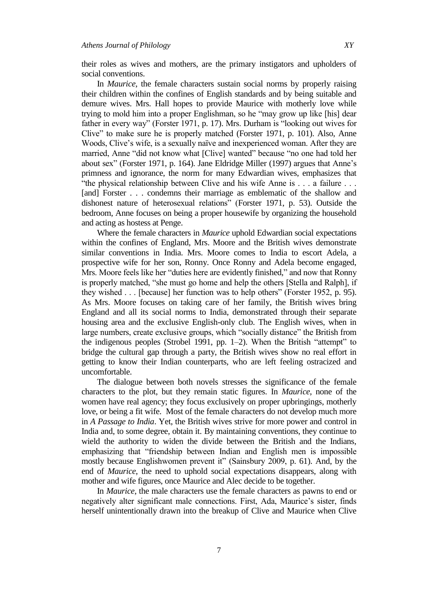their roles as wives and mothers, are the primary instigators and upholders of social conventions.

In *Maurice*, the female characters sustain social norms by properly raising their children within the confines of English standards and by being suitable and demure wives. Mrs. Hall hopes to provide Maurice with motherly love while trying to mold him into a proper Englishman, so he "may grow up like [his] dear father in every way" (Forster 1971, p. 17). Mrs. Durham is "looking out wives for Clive" to make sure he is properly matched (Forster 1971, p. 101). Also, Anne Woods, Clive's wife, is a sexually naïve and inexperienced woman. After they are married, Anne "did not know what [Clive] wanted" because "no one had told her about sex" (Forster 1971, p. 164). Jane Eldridge Miller (1997) argues that Anne's primness and ignorance, the norm for many Edwardian wives, emphasizes that "the physical relationship between Clive and his wife Anne is  $\dots$  a failure  $\dots$ [and] Forster . . . condemns their marriage as emblematic of the shallow and dishonest nature of heterosexual relations" (Forster 1971, p. 53). Outside the bedroom, Anne focuses on being a proper housewife by organizing the household and acting as hostess at Penge.

Where the female characters in *Maurice* uphold Edwardian social expectations within the confines of England, Mrs. Moore and the British wives demonstrate similar conventions in India. Mrs. Moore comes to India to escort Adela, a prospective wife for her son, Ronny. Once Ronny and Adela become engaged, Mrs. Moore feels like her "duties here are evidently finished," and now that Ronny is properly matched, "she must go home and help the others [Stella and Ralph], if they wished  $\ldots$  [because] her function was to help others" (Forster 1952, p. 95). As Mrs. Moore focuses on taking care of her family, the British wives bring England and all its social norms to India, demonstrated through their separate housing area and the exclusive English-only club. The English wives, when in large numbers, create exclusive groups, which "socially distance" the British from the indigenous peoples (Strobel 1991, pp.  $1-2$ ). When the British "attempt" to bridge the cultural gap through a party, the British wives show no real effort in getting to know their Indian counterparts, who are left feeling ostracized and uncomfortable.

The dialogue between both novels stresses the significance of the female characters to the plot, but they remain static figures. In *Maurice*, none of the women have real agency; they focus exclusively on proper upbringings, motherly love, or being a fit wife. Most of the female characters do not develop much more in *A Passage to India*. Yet, the British wives strive for more power and control in India and, to some degree, obtain it. By maintaining conventions, they continue to wield the authority to widen the divide between the British and the Indians, emphasizing that "friendship between Indian and English men is impossible mostly because Englishwomen prevent it" (Sainsbury 2009, p. 61). And, by the end of *Maurice*, the need to uphold social expectations disappears, along with mother and wife figures, once Maurice and Alec decide to be together.

In *Maurice*, the male characters use the female characters as pawns to end or negatively alter significant male connections. First, Ada, Maurice's sister, finds herself unintentionally drawn into the breakup of Clive and Maurice when Clive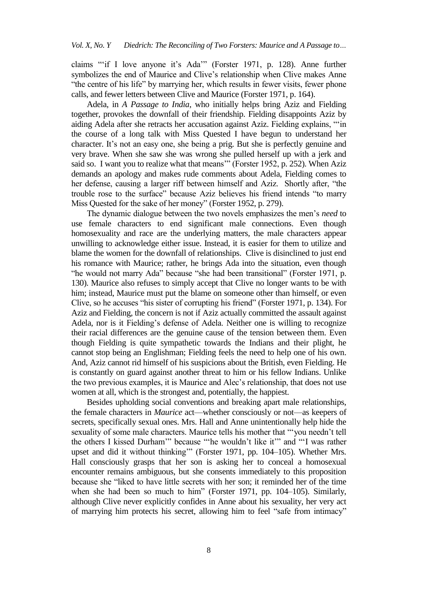claims "if I love anyone it's Ada" (Forster 1971, p. 128). Anne further symbolizes the end of Maurice and Clive's relationship when Clive makes Anne "the centre of his life" by marrying her, which results in fewer visits, fewer phone calls, and fewer letters between Clive and Maurice (Forster 1971, p. 164).

Adela, in *A Passage to India*, who initially helps bring Aziz and Fielding together, provokes the downfall of their friendship. Fielding disappoints Aziz by aiding Adela after she retracts her accusation against Aziz. Fielding explains, ""in the course of a long talk with Miss Quested I have begun to understand her character. It's not an easy one, she being a prig. But she is perfectly genuine and very brave. When she saw she was wrong she pulled herself up with a jerk and said so. I want you to realize what that means" (Forster 1952, p. 252). When Aziz demands an apology and makes rude comments about Adela, Fielding comes to her defense, causing a larger riff between himself and Aziz. Shortly after, "the trouble rose to the surface" because Aziz believes his friend intends "to marry Miss Quested for the sake of her money" (Forster 1952, p. 279).

The dynamic dialogue between the two novels emphasizes the men's *need* to use female characters to end significant male connections. Even though homosexuality and race are the underlying matters, the male characters appear unwilling to acknowledge either issue. Instead, it is easier for them to utilize and blame the women for the downfall of relationships. Clive is disinclined to just end his romance with Maurice; rather, he brings Ada into the situation, even though "he would not marry Ada" because "she had been transitional" (Forster 1971, p. 130). Maurice also refuses to simply accept that Clive no longer wants to be with him; instead, Maurice must put the blame on someone other than himself, or even Clive, so he accuses "his sister of corrupting his friend" (Forster 1971, p. 134). For Aziz and Fielding, the concern is not if Aziz actually committed the assault against Adela, nor is it Fielding's defense of Adela. Neither one is willing to recognize their racial differences are the genuine cause of the tension between them. Even though Fielding is quite sympathetic towards the Indians and their plight, he cannot stop being an Englishman; Fielding feels the need to help one of his own. And, Aziz cannot rid himself of his suspicions about the British, even Fielding. He is constantly on guard against another threat to him or his fellow Indians. Unlike the two previous examples, it is Maurice and Alec's relationship, that does not use women at all, which is the strongest and, potentially, the happiest.

Besides upholding social conventions and breaking apart male relationships, the female characters in *Maurice* act—whether consciously or not—as keepers of secrets, specifically sexual ones. Mrs. Hall and Anne unintentionally help hide the sexuality of some male characters. Maurice tells his mother that "'you needn't tell the others I kissed Durham" because "'he wouldn't like it" and "'I was rather upset and did it without thinking" (Forster 1971, pp. 104-105). Whether Mrs. Hall consciously grasps that her son is asking her to conceal a homosexual encounter remains ambiguous, but she consents immediately to this proposition because she "liked to have little secrets with her son; it reminded her of the time when she had been so much to him" (Forster 1971, pp. 104-105). Similarly, although Clive never explicitly confides in Anne about his sexuality, her very act of marrying him protects his secret, allowing him to feel "safe from intimacy"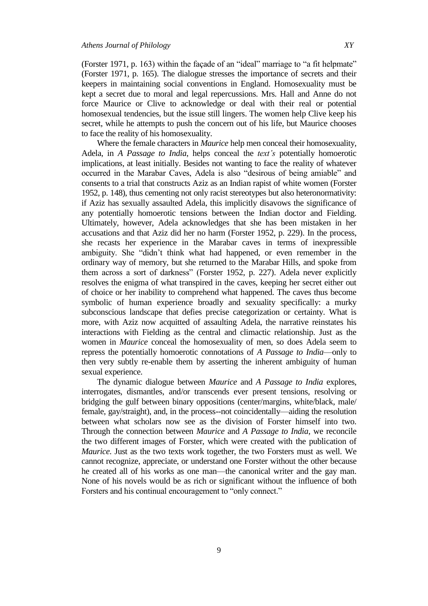(Forster 1971, p. 163) within the façade of an "ideal" marriage to "a fit helpmate" (Forster 1971, p. 165). The dialogue stresses the importance of secrets and their keepers in maintaining social conventions in England. Homosexuality must be kept a secret due to moral and legal repercussions. Mrs. Hall and Anne do not force Maurice or Clive to acknowledge or deal with their real or potential homosexual tendencies, but the issue still lingers. The women help Clive keep his secret, while he attempts to push the concern out of his life, but Maurice chooses to face the reality of his homosexuality.

Where the female characters in *Maurice* help men conceal their homosexuality, Adela, in *A Passage to India*, helps conceal the *text's* potentially homoerotic implications, at least initially. Besides not wanting to face the reality of whatever occurred in the Marabar Caves, Adela is also "desirous of being amiable" and consents to a trial that constructs Aziz as an Indian rapist of white women (Forster 1952, p. 148), thus cementing not only racist stereotypes but also heteronormativity: if Aziz has sexually assaulted Adela, this implicitly disavows the significance of any potentially homoerotic tensions between the Indian doctor and Fielding. Ultimately, however, Adela acknowledges that she has been mistaken in her accusations and that Aziz did her no harm (Forster 1952, p. 229). In the process, she recasts her experience in the Marabar caves in terms of inexpressible ambiguity. She "didn't think what had happened, or even remember in the ordinary way of memory, but she returned to the Marabar Hills, and spoke from them across a sort of darkness" (Forster 1952, p. 227). Adela never explicitly resolves the enigma of what transpired in the caves, keeping her secret either out of choice or her inability to comprehend what happened. The caves thus become symbolic of human experience broadly and sexuality specifically: a murky subconscious landscape that defies precise categorization or certainty. What is more, with Aziz now acquitted of assaulting Adela, the narrative reinstates his interactions with Fielding as the central and climactic relationship. Just as the women in *Maurice* conceal the homosexuality of men, so does Adela seem to repress the potentially homoerotic connotations of *A Passage to India*—only to then very subtly re-enable them by asserting the inherent ambiguity of human sexual experience.

The dynamic dialogue between *Maurice* and *A Passage to India* explores, interrogates, dismantles, and/or transcends ever present tensions, resolving or bridging the gulf between binary oppositions (center/margins, white/black, male/ female, gay/straight), and, in the process--not coincidentally—aiding the resolution between what scholars now see as the division of Forster himself into two. Through the connection between *Maurice* and *A Passage to India*, we reconcile the two different images of Forster, which were created with the publication of *Maurice*. Just as the two texts work together, the two Forsters must as well. We cannot recognize, appreciate, or understand one Forster without the other because he created all of his works as one man—the canonical writer and the gay man. None of his novels would be as rich or significant without the influence of both Forsters and his continual encouragement to "only connect."